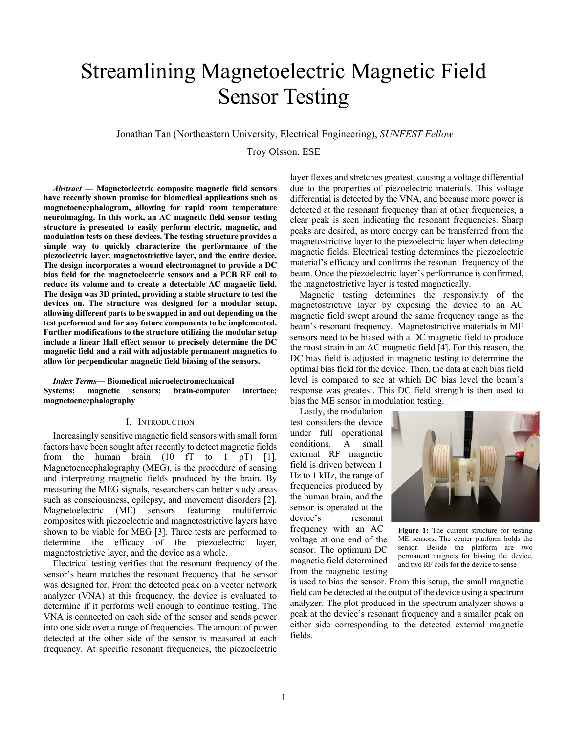# Streamlining Magnetoelectric Magnetic Field Sensor Testing

Jonathan Tan (Northeastern University, Electrical Engineering), *SUNFEST Fellow*

Troy Olsson, ESE

*Abstract* **— Magnetoelectric composite magnetic field sensors have recently shown promise for biomedical applications such as magnetoencephalogram, allowing for rapid room temperature neuroimaging. In this work, an AC magnetic field sensor testing structure is presented to easily perform electric, magnetic, and modulation tests on these devices. The testing structure provides a simple way to quickly characterize the performance of the piezoelectric layer, magnetostrictive layer, and the entire device. The design incorporates a wound electromagnet to provide a DC bias field for the magnetoelectric sensors and a PCB RF coil to reduce its volume and to create a detectable AC magnetic field. The design was 3D printed, providing a stable structure to test the devices on. The structure was designed for a modular setup, allowing different parts to be swapped in and out depending on the test performed and for any future components to be implemented. Further modifications to the structure utilizing the modular setup include a linear Hall effect sensor to precisely determine the DC magnetic field and a rail with adjustable permanent magnetics to allow for perpendicular magnetic field biasing of the sensors.**

*Index Terms***— Biomedical microelectromechanical Systems; magnetic sensors; brain-computer interface; magnetoencephalography**

# I. INTRODUCTION

Increasingly sensitive magnetic field sensors with small form factors have been sought after recently to detect magnetic fields from the human brain  $(10 \text{ fT}$  to  $1 \text{ pT})$  [1]. Magnetoencephalography (MEG), is the procedure of sensing and interpreting magnetic fields produced by the brain. By measuring the MEG signals, researchers can better study areas such as consciousness, epilepsy, and movement disorders [2]. Magnetoelectric (ME) sensors featuring multiferroic composites with piezoelectric and magnetostrictive layers have shown to be viable for MEG [3]. Three tests are performed to determine the efficacy of the piezoelectric layer, magnetostrictive layer, and the device as a whole.

Electrical testing verifies that the resonant frequency of the sensor's beam matches the resonant frequency that the sensor was designed for. From the detected peak on a vector network analyzer (VNA) at this frequency, the device is evaluated to determine if it performs well enough to continue testing. The VNA is connected on each side of the sensor and sends power into one side over a range of frequencies. The amount of power detected at the other side of the sensor is measured at each frequency. At specific resonant frequencies, the piezoelectric layer flexes and stretches greatest, causing a voltage differential due to the properties of piezoelectric materials. This voltage differential is detected by the VNA, and because more power is detected at the resonant frequency than at other frequencies, a clear peak is seen indicating the resonant frequencies. Sharp peaks are desired, as more energy can be transferred from the magnetostrictive layer to the piezoelectric layer when detecting magnetic fields. Electrical testing determines the piezoelectric material's efficacy and confirms the resonant frequency of the beam. Once the piezoelectric layer's performance is confirmed, the magnetostrictive layer is tested magnetically.

Magnetic testing determines the responsivity of the magnetostrictive layer by exposing the device to an AC magnetic field swept around the same frequency range as the beam's resonant frequency. Magnetostrictive materials in ME sensors need to be biased with a DC magnetic field to produce the most strain in an AC magnetic field [4]. For this reason, the DC bias field is adjusted in magnetic testing to determine the optimal bias field for the device. Then, the data at each bias field level is compared to see at which DC bias level the beam's response was greatest. This DC field strength is then used to bias the ME sensor in modulation testing.

Lastly, the modulation test considers the device under full operational conditions. A small external RF magnetic field is driven between 1 Hz to 1 kHz, the range of frequencies produced by the human brain, and the sensor is operated at the device's resonant frequency with an AC voltage at one end of the sensor. The optimum DC magnetic field determined from the magnetic testing



**Figure 1:** The current structure for testing ME sensors. The center platform holds the sensor. Beside the platform are two permanent magnets for biasing the device, and two RF coils for the device to sense

is used to bias the sensor. From this setup, the small magnetic field can be detected at the output of the device using a spectrum analyzer. The plot produced in the spectrum analyzer shows a peak at the device's resonant frequency and a smaller peak on either side corresponding to the detected external magnetic fields.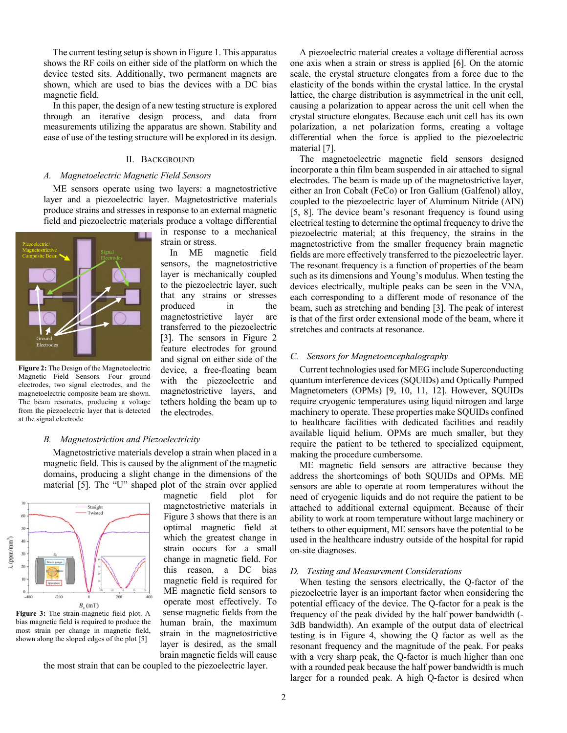The current testing setup is shown in Figure 1. This apparatus shows the RF coils on either side of the platform on which the device tested sits. Additionally, two permanent magnets are shown, which are used to bias the devices with a DC bias magnetic field.

In this paper, the design of a new testing structure is explored through an iterative design process, and data from measurements utilizing the apparatus are shown. Stability and ease of use of the testing structure will be explored in its design.

# II. BACKGROUND

#### *A. Magnetoelectric Magnetic Field Sensors*

ME sensors operate using two layers: a magnetostrictive layer and a piezoelectric layer. Magnetostrictive materials produce strains and stresses in response to an external magnetic field and piezoelectric materials produce a voltage differential

in response to a mechanical

In ME magnetic field sensors, the magnetostrictive layer is mechanically coupled to the piezoelectric layer, such that any strains or stresses produced in the magnetostrictive layer are transferred to the piezoelectric [3]. The sensors in Figure 2 feature electrodes for ground and signal on either side of the device, a free-floating beam with the piezoelectric and magnetostrictive layers, and tethers holding the beam up to

strain or stress.



**Figure 2:** The Design of the Magnetoelectric Magnetic Field Sensors. Four ground electrodes, two signal electrodes, and the magnetoelectric composite beam are shown. The beam resonates, producing a voltage from the piezoelectric layer that is detected at the signal electrode

# the electrodes.

#### *B. Magnetostriction and Piezoelectricity*

Magnetostrictive materials develop a strain when placed in a magnetic field. This is caused by the alignment of the magnetic domains, producing a slight change in the dimensions of the material [5]. The "U" shaped plot of the strain over applied



**Figure 3:** The strain-magnetic field plot. A bias magnetic field is required to produce the most strain per change in magnetic field, shown along the sloped edges of the plot [5]

magnetic field plot for magnetostrictive materials in Figure 3 shows that there is an optimal magnetic field at which the greatest change in strain occurs for a small change in magnetic field. For this reason, a DC bias magnetic field is required for ME magnetic field sensors to operate most effectively. To sense magnetic fields from the human brain, the maximum strain in the magnetostrictive layer is desired, as the small brain magnetic fields will cause

the most strain that can be coupled to the piezoelectric layer.

A piezoelectric material creates a voltage differential across one axis when a strain or stress is applied [6]. On the atomic scale, the crystal structure elongates from a force due to the elasticity of the bonds within the crystal lattice. In the crystal lattice, the charge distribution is asymmetrical in the unit cell, causing a polarization to appear across the unit cell when the crystal structure elongates. Because each unit cell has its own polarization, a net polarization forms, creating a voltage differential when the force is applied to the piezoelectric material [7].

The magnetoelectric magnetic field sensors designed incorporate a thin film beam suspended in air attached to signal electrodes. The beam is made up of the magnetostrictive layer, either an Iron Cobalt (FeCo) or Iron Gallium (Galfenol) alloy, coupled to the piezoelectric layer of Aluminum Nitride (AlN) [5, 8]. The device beam's resonant frequency is found using electrical testing to determine the optimal frequency to drive the piezoelectric material; at this frequency, the strains in the magnetostrictive from the smaller frequency brain magnetic fields are more effectively transferred to the piezoelectric layer. The resonant frequency is a function of properties of the beam such as its dimensions and Young's modulus. When testing the devices electrically, multiple peaks can be seen in the VNA, each corresponding to a different mode of resonance of the beam, such as stretching and bending [3]. The peak of interest is that of the first order extensional mode of the beam, where it stretches and contracts at resonance.

# *C. Sensors for Magnetoencephalography*

Current technologies used for MEG include Superconducting quantum interference devices (SQUIDs) and Optically Pumped Magnetometers (OPMs) [9, 10, 11, 12]. However, SQUIDs require cryogenic temperatures using liquid nitrogen and large machinery to operate. These properties make SQUIDs confined to healthcare facilities with dedicated facilities and readily available liquid helium. OPMs are much smaller, but they require the patient to be tethered to specialized equipment, making the procedure cumbersome.

ME magnetic field sensors are attractive because they address the shortcomings of both SQUIDs and OPMs. ME sensors are able to operate at room temperatures without the need of cryogenic liquids and do not require the patient to be attached to additional external equipment. Because of their ability to work at room temperature without large machinery or tethers to other equipment, ME sensors have the potential to be used in the healthcare industry outside of the hospital for rapid on-site diagnoses.

#### *D. Testing and Measurement Considerations*

When testing the sensors electrically, the Q-factor of the piezoelectric layer is an important factor when considering the potential efficacy of the device. The Q-factor for a peak is the frequency of the peak divided by the half power bandwidth (- 3dB bandwidth). An example of the output data of electrical testing is in Figure 4, showing the Q factor as well as the resonant frequency and the magnitude of the peak. For peaks with a very sharp peak, the Q-factor is much higher than one with a rounded peak because the half power bandwidth is much larger for a rounded peak. A high Q-factor is desired when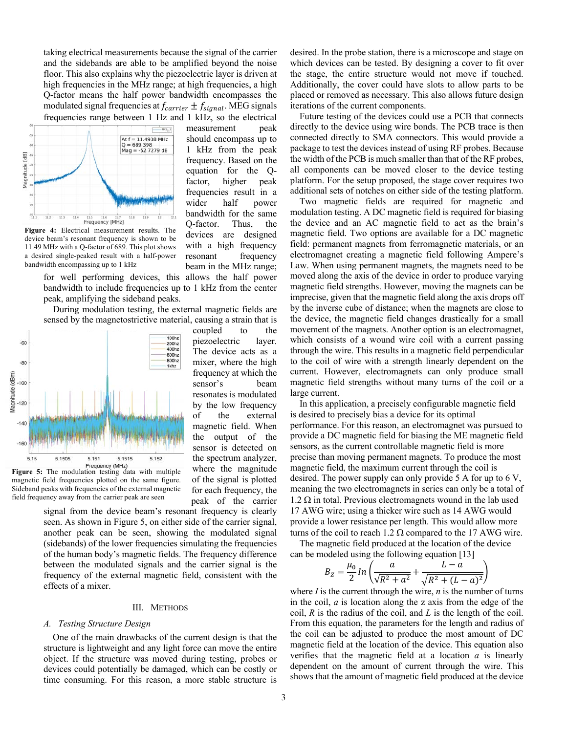taking electrical measurements because the signal of the carrier and the sidebands are able to be amplified beyond the noise floor. This also explains why the piezoelectric layer is driven at high frequencies in the MHz range; at high frequencies, a high Q-factor means the half power bandwidth encompasses the modulated signal frequencies at  $f_{carrier} \pm f_{signal}$ . MEG signals frequencies range between 1 Hz and 1 kHz, so the electrical



**Figure 4:** Electrical measurement results. The device beam's resonant frequency is shown to be 11.49 MHz with a Q-factor of 689. This plot shows a desired single-peaked result with a half-power bandwidth encompassing up to 1 kHz

for well performing devices, this allows the half power bandwidth to include frequencies up to 1 kHz from the center peak, amplifying the sideband peaks.

During modulation testing, the external magnetic fields are sensed by the magnetostrictive material, causing a strain that is



**Figure 5:** The modulation testing data with multiple magnetic field frequencies plotted on the same figure. Sideband peaks with frequencies of the external magnetic field frequency away from the carrier peak are seen

signal from the device beam's resonant frequency is clearly seen. As shown in Figure 5, on either side of the carrier signal, another peak can be seen, showing the modulated signal (sidebands) of the lower frequencies simulating the frequencies of the human body's magnetic fields. The frequency difference between the modulated signals and the carrier signal is the frequency of the external magnetic field, consistent with the effects of a mixer.

#### III. METHODS

#### *A. Testing Structure Design*

One of the main drawbacks of the current design is that the structure is lightweight and any light force can move the entire object. If the structure was moved during testing, probes or devices could potentially be damaged, which can be costly or time consuming. For this reason, a more stable structure is

measurement peak should encompass up to 1 kHz from the peak frequency. Based on the equation for the Qfactor, higher peak frequencies result in a wider half power bandwidth for the same Q-factor. Thus, the devices are designed with a high frequency resonant frequency beam in the MHz range;

coupled to the piezoelectric layer. The device acts as a mixer, where the high frequency at which the sensor's beam resonates is modulated by the low frequency of the external magnetic field. When the output of the sensor is detected on the spectrum analyzer, where the magnitude of the signal is plotted for each frequency, the peak of the carrier desired. In the probe station, there is a microscope and stage on which devices can be tested. By designing a cover to fit over the stage, the entire structure would not move if touched. Additionally, the cover could have slots to allow parts to be placed or removed as necessary. This also allows future design iterations of the current components.

Future testing of the devices could use a PCB that connects directly to the device using wire bonds. The PCB trace is then connected directly to SMA connectors. This would provide a package to test the devices instead of using RF probes. Because the width of the PCB is much smaller than that of the RF probes, all components can be moved closer to the device testing platform. For the setup proposed, the stage cover requires two additional sets of notches on either side of the testing platform.

Two magnetic fields are required for magnetic and modulation testing. A DC magnetic field is required for biasing the device and an AC magnetic field to act as the brain's magnetic field. Two options are available for a DC magnetic field: permanent magnets from ferromagnetic materials, or an electromagnet creating a magnetic field following Ampere's Law. When using permanent magnets, the magnets need to be moved along the axis of the device in order to produce varying magnetic field strengths. However, moving the magnets can be imprecise, given that the magnetic field along the axis drops off by the inverse cube of distance; when the magnets are close to the device, the magnetic field changes drastically for a small movement of the magnets. Another option is an electromagnet, which consists of a wound wire coil with a current passing through the wire. This results in a magnetic field perpendicular to the coil of wire with a strength linearly dependent on the current. However, electromagnets can only produce small magnetic field strengths without many turns of the coil or a large current.

In this application, a precisely configurable magnetic field is desired to precisely bias a device for its optimal performance. For this reason, an electromagnet was pursued to provide a DC magnetic field for biasing the ME magnetic field sensors, as the current controllable magnetic field is more precise than moving permanent magnets. To produce the most magnetic field, the maximum current through the coil is desired. The power supply can only provide 5 A for up to 6 V, meaning the two electromagnets in series can only be a total of  $1.2 \Omega$  in total. Previous electromagnets wound in the lab used 17 AWG wire; using a thicker wire such as 14 AWG would provide a lower resistance per length. This would allow more turns of the coil to reach 1.2  $\Omega$  compared to the 17 AWG wire.

The magnetic field produced at the location of the device can be modeled using the following equation [13]

$$
B_Z = \frac{\mu_0}{2} \ln \left( \frac{a}{\sqrt{R^2 + a^2}} + \frac{L - a}{\sqrt{R^2 + (L - a)^2}} \right)
$$

where *I* is the current through the wire, *n* is the number of turns in the coil, *a* is location along the z axis from the edge of the coil, *R* is the radius of the coil, and *L* is the length of the coil. From this equation, the parameters for the length and radius of the coil can be adjusted to produce the most amount of DC magnetic field at the location of the device. This equation also verifies that the magnetic field at a location *a* is linearly dependent on the amount of current through the wire. This shows that the amount of magnetic field produced at the device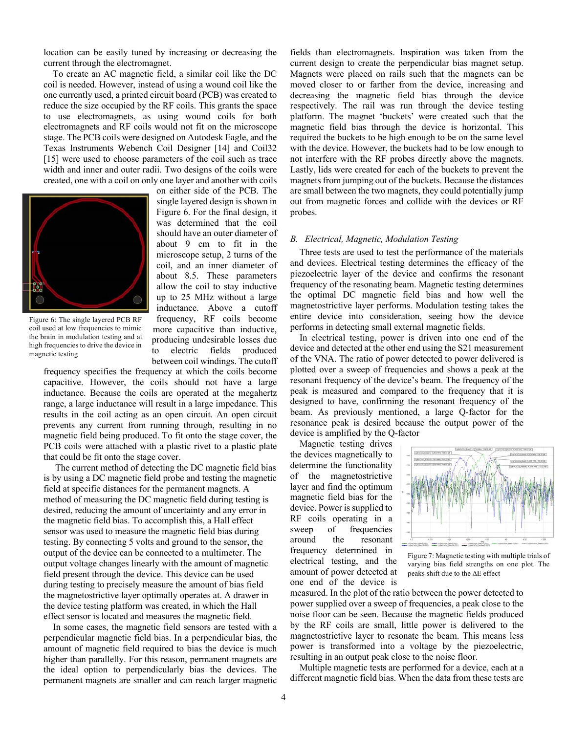location can be easily tuned by increasing or decreasing the current through the electromagnet.

To create an AC magnetic field, a similar coil like the DC coil is needed. However, instead of using a wound coil like the one currently used, a printed circuit board (PCB) was created to reduce the size occupied by the RF coils. This grants the space to use electromagnets, as using wound coils for both electromagnets and RF coils would not fit on the microscope stage. The PCB coils were designed on Autodesk Eagle, and the Texas Instruments Webench Coil Designer [14] and Coil32 [15] were used to choose parameters of the coil such as trace width and inner and outer radii. Two designs of the coils were created, one with a coil on only one layer and another with coils



Figure 6: The single layered PCB RF coil used at low frequencies to mimic the brain in modulation testing and at high frequencies to drive the device in magnetic testing

on either side of the PCB. The single layered design is shown in Figure 6. For the final design, it was determined that the coil should have an outer diameter of about 9 cm to fit in the microscope setup, 2 turns of the coil, and an inner diameter of about 8.5. These parameters allow the coil to stay inductive up to 25 MHz without a large inductance. Above a cutoff frequency, RF coils become more capacitive than inductive, producing undesirable losses due to electric fields produced between coil windings. The cutoff

frequency specifies the frequency at which the coils become capacitive. However, the coils should not have a large inductance. Because the coils are operated at the megahertz range, a large inductance will result in a large impedance. This results in the coil acting as an open circuit. An open circuit prevents any current from running through, resulting in no magnetic field being produced. To fit onto the stage cover, the PCB coils were attached with a plastic rivet to a plastic plate that could be fit onto the stage cover.

The current method of detecting the DC magnetic field bias is by using a DC magnetic field probe and testing the magnetic field at specific distances for the permanent magnets. A method of measuring the DC magnetic field during testing is desired, reducing the amount of uncertainty and any error in the magnetic field bias. To accomplish this, a Hall effect sensor was used to measure the magnetic field bias during testing. By connecting 5 volts and ground to the sensor, the output of the device can be connected to a multimeter. The output voltage changes linearly with the amount of magnetic field present through the device. This device can be used during testing to precisely measure the amount of bias field the magnetostrictive layer optimally operates at. A drawer in the device testing platform was created, in which the Hall effect sensor is located and measures the magnetic field.

In some cases, the magnetic field sensors are tested with a perpendicular magnetic field bias. In a perpendicular bias, the amount of magnetic field required to bias the device is much higher than parallelly. For this reason, permanent magnets are the ideal option to perpendicularly bias the devices. The permanent magnets are smaller and can reach larger magnetic

fields than electromagnets. Inspiration was taken from the current design to create the perpendicular bias magnet setup. Magnets were placed on rails such that the magnets can be moved closer to or farther from the device, increasing and decreasing the magnetic field bias through the device respectively. The rail was run through the device testing platform. The magnet 'buckets' were created such that the magnetic field bias through the device is horizontal. This required the buckets to be high enough to be on the same level with the device. However, the buckets had to be low enough to not interfere with the RF probes directly above the magnets. Lastly, lids were created for each of the buckets to prevent the magnets from jumping out of the buckets. Because the distances are small between the two magnets, they could potentially jump out from magnetic forces and collide with the devices or RF probes.

# *B. Electrical, Magnetic, Modulation Testing*

Three tests are used to test the performance of the materials and devices. Electrical testing determines the efficacy of the piezoelectric layer of the device and confirms the resonant frequency of the resonating beam. Magnetic testing determines the optimal DC magnetic field bias and how well the magnetostrictive layer performs. Modulation testing takes the entire device into consideration, seeing how the device performs in detecting small external magnetic fields.

In electrical testing, power is driven into one end of the device and detected at the other end using the S21 measurement of the VNA. The ratio of power detected to power delivered is plotted over a sweep of frequencies and shows a peak at the resonant frequency of the device's beam. The frequency of the peak is measured and compared to the frequency that it is designed to have, confirming the resonant frequency of the beam. As previously mentioned, a large Q-factor for the resonance peak is desired because the output power of the device is amplified by the Q-factor

Magnetic testing drives the devices magnetically to determine the functionality of the magnetostrictive layer and find the optimum magnetic field bias for the device. Power is supplied to RF coils operating in a sweep of frequencies around the resonant frequency determined in electrical testing, and the amount of power detected at one end of the device is



Figure 7: Magnetic testing with multiple trials of varying bias field strengths on one plot. The peaks shift due to the  $\Delta E$  effect

measured. In the plot of the ratio between the power detected to power supplied over a sweep of frequencies, a peak close to the noise floor can be seen. Because the magnetic fields produced by the RF coils are small, little power is delivered to the magnetostrictive layer to resonate the beam. This means less power is transformed into a voltage by the piezoelectric, resulting in an output peak close to the noise floor.

Multiple magnetic tests are performed for a device, each at a different magnetic field bias. When the data from these tests are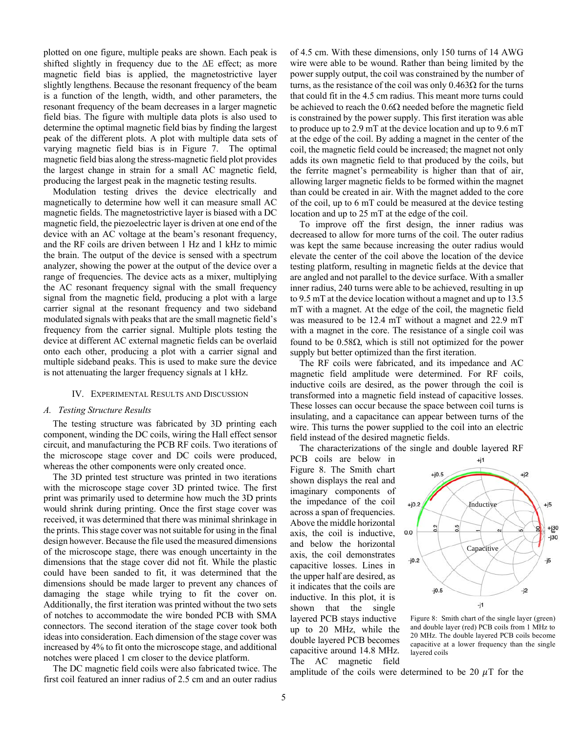plotted on one figure, multiple peaks are shown. Each peak is shifted slightly in frequency due to the  $\Delta E$  effect; as more magnetic field bias is applied, the magnetostrictive layer slightly lengthens. Because the resonant frequency of the beam is a function of the length, width, and other parameters, the resonant frequency of the beam decreases in a larger magnetic field bias. The figure with multiple data plots is also used to determine the optimal magnetic field bias by finding the largest peak of the different plots. A plot with multiple data sets of varying magnetic field bias is in Figure 7. The optimal magnetic field bias along the stress-magnetic field plot provides the largest change in strain for a small AC magnetic field, producing the largest peak in the magnetic testing results.

Modulation testing drives the device electrically and magnetically to determine how well it can measure small AC magnetic fields. The magnetostrictive layer is biased with a DC magnetic field, the piezoelectric layer is driven at one end of the device with an AC voltage at the beam's resonant frequency, and the RF coils are driven between 1 Hz and 1 kHz to mimic the brain. The output of the device is sensed with a spectrum analyzer, showing the power at the output of the device over a range of frequencies. The device acts as a mixer, multiplying the AC resonant frequency signal with the small frequency signal from the magnetic field, producing a plot with a large carrier signal at the resonant frequency and two sideband modulated signals with peaks that are the small magnetic field's frequency from the carrier signal. Multiple plots testing the device at different AC external magnetic fields can be overlaid onto each other, producing a plot with a carrier signal and multiple sideband peaks. This is used to make sure the device is not attenuating the larger frequency signals at 1 kHz.

## IV. EXPERIMENTAL RESULTS AND DISCUSSION

# *A. Testing Structure Results*

The testing structure was fabricated by 3D printing each component, winding the DC coils, wiring the Hall effect sensor circuit, and manufacturing the PCB RF coils. Two iterations of the microscope stage cover and DC coils were produced, whereas the other components were only created once.

The 3D printed test structure was printed in two iterations with the microscope stage cover 3D printed twice. The first print was primarily used to determine how much the 3D prints would shrink during printing. Once the first stage cover was received, it was determined that there was minimal shrinkage in the prints. This stage cover was not suitable for using in the final design however. Because the file used the measured dimensions of the microscope stage, there was enough uncertainty in the dimensions that the stage cover did not fit. While the plastic could have been sanded to fit, it was determined that the dimensions should be made larger to prevent any chances of damaging the stage while trying to fit the cover on. Additionally, the first iteration was printed without the two sets of notches to accommodate the wire bonded PCB with SMA connectors. The second iteration of the stage cover took both ideas into consideration. Each dimension of the stage cover was increased by 4% to fit onto the microscope stage, and additional notches were placed 1 cm closer to the device platform.

The DC magnetic field coils were also fabricated twice. The first coil featured an inner radius of 2.5 cm and an outer radius

of 4.5 cm. With these dimensions, only 150 turns of 14 AWG wire were able to be wound. Rather than being limited by the power supply output, the coil was constrained by the number of turns, as the resistance of the coil was only  $0.463\Omega$  for the turns that could fit in the 4.5 cm radius. This meant more turns could be achieved to reach the  $0.6\Omega$  needed before the magnetic field is constrained by the power supply. This first iteration was able to produce up to 2.9 mT at the device location and up to 9.6 mT at the edge of the coil. By adding a magnet in the center of the coil, the magnetic field could be increased; the magnet not only adds its own magnetic field to that produced by the coils, but the ferrite magnet's permeability is higher than that of air, allowing larger magnetic fields to be formed within the magnet than could be created in air. With the magnet added to the core of the coil, up to 6 mT could be measured at the device testing location and up to 25 mT at the edge of the coil.

To improve off the first design, the inner radius was decreased to allow for more turns of the coil. The outer radius was kept the same because increasing the outer radius would elevate the center of the coil above the location of the device testing platform, resulting in magnetic fields at the device that are angled and not parallel to the device surface. With a smaller inner radius, 240 turns were able to be achieved, resulting in up to 9.5 mT at the device location without a magnet and up to 13.5 mT with a magnet. At the edge of the coil, the magnetic field was measured to be 12.4 mT without a magnet and 22.9 mT with a magnet in the core. The resistance of a single coil was found to be  $0.58\Omega$ , which is still not optimized for the power supply but better optimized than the first iteration.

The RF coils were fabricated, and its impedance and AC magnetic field amplitude were determined. For RF coils, inductive coils are desired, as the power through the coil is transformed into a magnetic field instead of capacitive losses. These losses can occur because the space between coil turns is insulating, and a capacitance can appear between turns of the wire. This turns the power supplied to the coil into an electric field instead of the desired magnetic fields.

The characterizations of the single and double layered RF

PCB coils are below in Figure 8. The Smith chart shown displays the real and imaginary components of the impedance of the coil across a span of frequencies. Above the middle horizontal axis, the coil is inductive, and below the horizontal axis, the coil demonstrates capacitive losses. Lines in the upper half are desired, as it indicates that the coils are inductive. In this plot, it is shown that the single layered PCB stays inductive up to 20 MHz, while the double layered PCB becomes capacitive around 14.8 MHz. The AC magnetic field



Figure 8: Smith chart of the single layer (green) and double layer (red) PCB coils from 1 MHz to 20 MHz. The double layered PCB coils become capacitive at a lower frequency than the single layered coils

amplitude of the coils were determined to be 20  $\mu$ T for the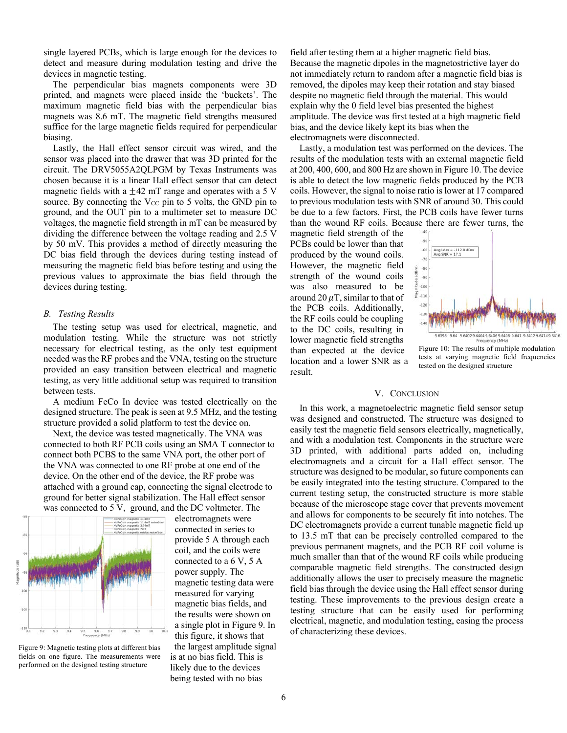single layered PCBs, which is large enough for the devices to detect and measure during modulation testing and drive the devices in magnetic testing.

The perpendicular bias magnets components were 3D printed, and magnets were placed inside the 'buckets'. The maximum magnetic field bias with the perpendicular bias magnets was 8.6 mT. The magnetic field strengths measured suffice for the large magnetic fields required for perpendicular biasing.

Lastly, the Hall effect sensor circuit was wired, and the sensor was placed into the drawer that was 3D printed for the circuit. The DRV5055A2QLPGM by Texas Instruments was chosen because it is a linear Hall effect sensor that can detect magnetic fields with a  $\pm$ 42 mT range and operates with a 5 V source. By connecting the  $V_{CC}$  pin to 5 volts, the GND pin to ground, and the OUT pin to a multimeter set to measure DC voltages, the magnetic field strength in mT can be measured by dividing the difference between the voltage reading and 2.5 V by 50 mV. This provides a method of directly measuring the DC bias field through the devices during testing instead of measuring the magnetic field bias before testing and using the previous values to approximate the bias field through the devices during testing.

# *B. Testing Results*

The testing setup was used for electrical, magnetic, and modulation testing. While the structure was not strictly necessary for electrical testing, as the only test equipment needed was the RF probes and the VNA, testing on the structure provided an easy transition between electrical and magnetic testing, as very little additional setup was required to transition between tests.

A medium FeCo In device was tested electrically on the designed structure. The peak is seen at 9.5 MHz, and the testing structure provided a solid platform to test the device on.

Next, the device was tested magnetically. The VNA was connected to both RF PCB coils using an SMA T connector to connect both PCBS to the same VNA port, the other port of the VNA was connected to one RF probe at one end of the device. On the other end of the device, the RF probe was attached with a ground cap, connecting the signal electrode to ground for better signal stabilization. The Hall effect sensor was connected to 5 V, ground, and the DC voltmeter. The



Figure 9: Magnetic testing plots at different bias fields on one figure. The measurements were performed on the designed testing structure

electromagnets were connected in series to provide 5 A through each coil, and the coils were connected to a 6 V, 5 A power supply. The magnetic testing data were measured for varying magnetic bias fields, and the results were shown on a single plot in Figure 9. In this figure, it shows that the largest amplitude signal is at no bias field. This is likely due to the devices being tested with no bias

field after testing them at a higher magnetic field bias. Because the magnetic dipoles in the magnetostrictive layer do not immediately return to random after a magnetic field bias is removed, the dipoles may keep their rotation and stay biased despite no magnetic field through the material. This would explain why the 0 field level bias presented the highest amplitude. The device was first tested at a high magnetic field bias, and the device likely kept its bias when the electromagnets were disconnected.

Lastly, a modulation test was performed on the devices. The results of the modulation tests with an external magnetic field at 200, 400, 600, and 800 Hz are shown in Figure 10. The device is able to detect the low magnetic fields produced by the PCB coils. However, the signal to noise ratio is lower at 17 compared to previous modulation tests with SNR of around 30. This could be due to a few factors. First, the PCB coils have fewer turns than the wound RF coils. Because there are fewer turns, the

magnetic field strength of the PCBs could be lower than that produced by the wound coils. However, the magnetic field strength of the wound coils was also measured to be around 20  $\mu$ T, similar to that of the PCB coils. Additionally, the RF coils could be coupling to the DC coils, resulting in lower magnetic field strengths than expected at the device location and a lower SNR as a result.



Figure 10: The results of multiple modulation tests at varying magnetic field frequencies tested on the designed structure

## V. CONCLUSION

In this work, a magnetoelectric magnetic field sensor setup was designed and constructed. The structure was designed to easily test the magnetic field sensors electrically, magnetically, and with a modulation test. Components in the structure were 3D printed, with additional parts added on, including electromagnets and a circuit for a Hall effect sensor. The structure was designed to be modular, so future components can be easily integrated into the testing structure. Compared to the current testing setup, the constructed structure is more stable because of the microscope stage cover that prevents movement and allows for components to be securely fit into notches. The DC electromagnets provide a current tunable magnetic field up to 13.5 mT that can be precisely controlled compared to the previous permanent magnets, and the PCB RF coil volume is much smaller than that of the wound RF coils while producing comparable magnetic field strengths. The constructed design additionally allows the user to precisely measure the magnetic field bias through the device using the Hall effect sensor during testing. These improvements to the previous design create a testing structure that can be easily used for performing electrical, magnetic, and modulation testing, easing the process of characterizing these devices.